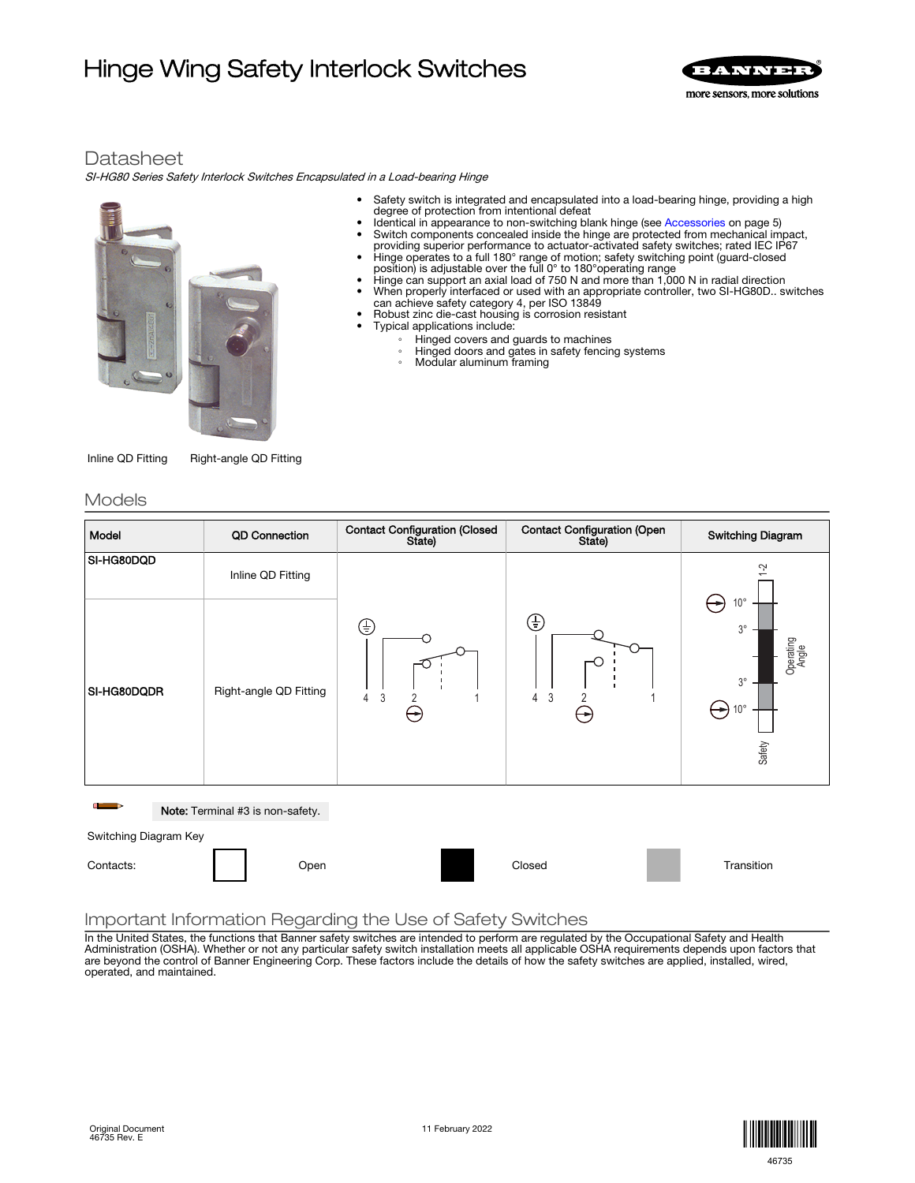# Hinge Wing Safety Interlock Switches **STANNER**



## Datasheet

SI-HG80 Series Safety Interlock Switches Encapsulated in a Load-bearing Hinge





- Identical in appearance to non-switching blank hinge (see [Accessories o](#page-4-0)n page 5)
- 
- Switch components concealed inside the hinge are protected from mechanical impact,<br>providing superior performance to actuator-activated safety switches; rated IEC IP67<br>• Hinge operates to a full 180° range of motion; saf
- 
- can achieve safety category 4, per ISO 13849
- Robust zinc die-cast housing is corrosion resistant
- Typical applications include:
	- Hinged covers and guards to machines
		- Hinged doors and gates in safety fencing systems<br>◦ Modular aluminum framing
		- Modular aluminum framing

Inline QD Fitting Right-angle QD Fitting

## Models

| Model                                 | <b>QD Connection</b>   | <b>Contact Configuration (Closed</b><br>State) | <b>Contact Configuration (Open</b><br>State) | <b>Switching Diagram</b>                                                                                        |  |
|---------------------------------------|------------------------|------------------------------------------------|----------------------------------------------|-----------------------------------------------------------------------------------------------------------------|--|
| SI-HG80DQD                            | Inline QD Fitting      |                                                |                                              | بہ                                                                                                              |  |
| SI-HG80DQDR                           | Right-angle QD Fitting | ⊕<br>$\overline{4}$<br>3<br>2<br>⊖             | ⊕<br>3<br>4                                  | $10^{\circ}$<br>$3^{\circ}$<br>Operating<br>Angle<br>$3^{\circ}$<br>$10^{\circ}$<br>$\leftrightarrow$<br>Safety |  |
| ╼<br>Note: Terminal #3 is non-safety. |                        |                                                |                                              |                                                                                                                 |  |
| Switching Diagram Key                 |                        |                                                |                                              |                                                                                                                 |  |
| Contacts:                             | Open                   |                                                | Closed                                       | Transition                                                                                                      |  |

## Important Information Regarding the Use of Safety Switches

In the United States, the functions that Banner safety switches are intended to perform are regulated by the Occupational Safety and Health Administration (OSHA). Whether or not any particular safety switch installation meets all applicable OSHA requirements depends upon factors that are beyond the control of Banner Engineering Corp. These factors include the details of how the safety switches are applied, installed, wired, operated, and maintained.

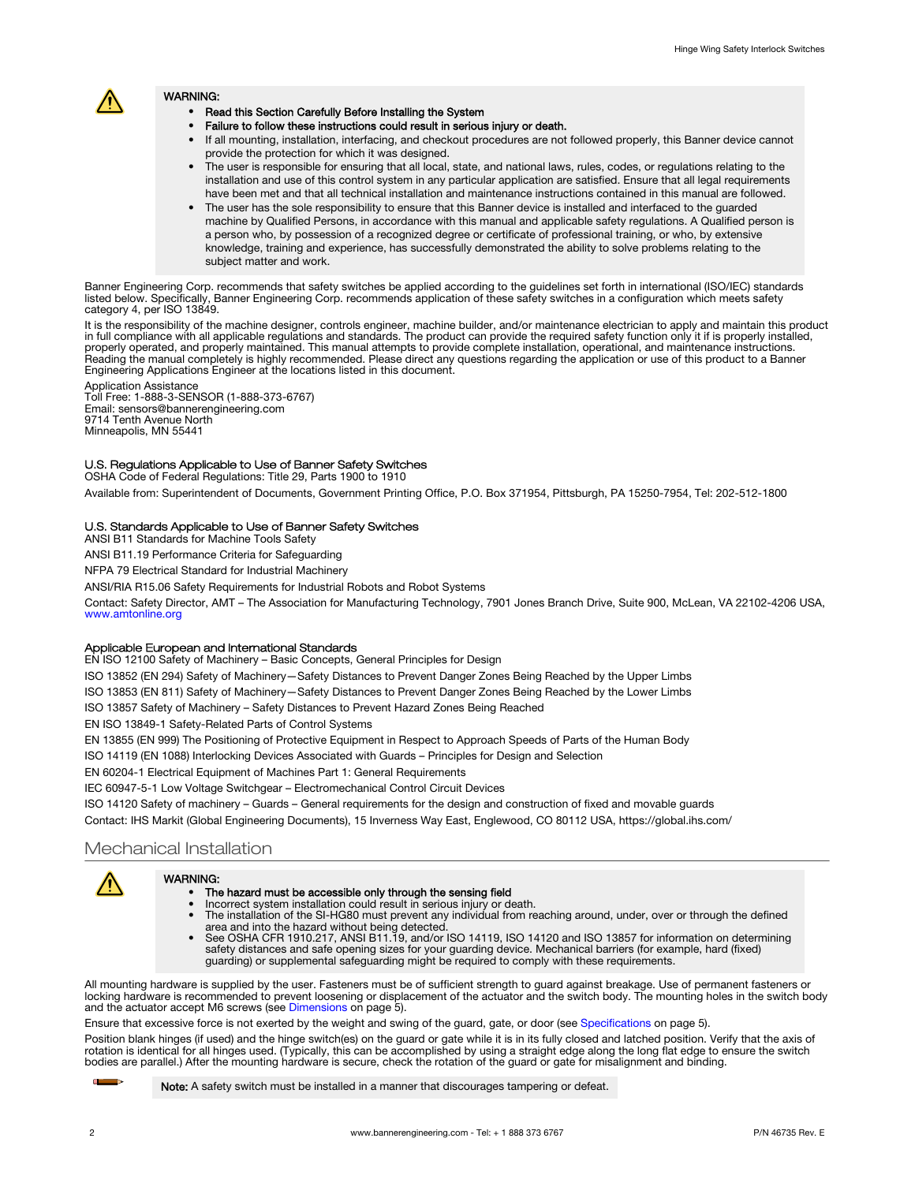

### WARNING:

#### • Read this Section Carefully Before Installing the System

- Failure to follow these instructions could result in serious injury or death.
- If all mounting, installation, interfacing, and checkout procedures are not followed properly, this Banner device cannot provide the protection for which it was designed.
- The user is responsible for ensuring that all local, state, and national laws, rules, codes, or regulations relating to the installation and use of this control system in any particular application are satisfied. Ensure that all legal requirements have been met and that all technical installation and maintenance instructions contained in this manual are followed.
- The user has the sole responsibility to ensure that this Banner device is installed and interfaced to the guarded machine by Qualified Persons, in accordance with this manual and applicable safety regulations. A Qualified person is a person who, by possession of a recognized degree or certificate of professional training, or who, by extensive knowledge, training and experience, has successfully demonstrated the ability to solve problems relating to the subject matter and work.

Banner Engineering Corp. recommends that safety switches be applied according to the guidelines set forth in international (ISO/IEC) standards listed below. Specifically, Banner Engineering Corp. recommends application of these safety switches in a configuration which meets safety category 4, per ISO 13849.

It is the responsibility of the machine designer, controls engineer, machine builder, and/or maintenance electrician to apply and maintain this product<br>in full compliance with all applicable regulations and standards. The Engineering Applications Engineer at the locations listed in this document.

Application Assistance Toll Free: 1-888-3-SENSOR (1-888-373-6767) Email: sensors@bannerengineering.com 9714 Tenth Avenue North Minneapolis, MN 55441

#### U.S. Regulations Applicable to Use of Banner Safety Switches

OSHA Code of Federal Regulations: Title 29, Parts 1900 to 1910

Available from: Superintendent of Documents, Government Printing Office, P.O. Box 371954, Pittsburgh, PA 15250-7954, Tel: 202-512-1800

#### U.S. Standards Applicable to Use of Banner Safety Switches

ANSI B11 Standards for Machine Tools Safety

ANSI B11.19 Performance Criteria for Safeguarding

NFPA 79 Electrical Standard for Industrial Machinery

ANSI/RIA R15.06 Safety Requirements for Industrial Robots and Robot Systems

Contact: Safety Director, AMT – The Association for Manufacturing Technology, 7901 Jones Branch Drive, Suite 900, McLean, VA 22102-4206 USA, [www.amtonline.org](http://www.amtonline.org)

### Applicable European and International Standards

EN ISO 12100 Safety of Machinery – Basic Concepts, General Principles for Design

ISO 13852 (EN 294) Safety of Machinery—Safety Distances to Prevent Danger Zones Being Reached by the Upper Limbs

ISO 13853 (EN 811) Safety of Machinery—Safety Distances to Prevent Danger Zones Being Reached by the Lower Limbs

ISO 13857 Safety of Machinery – Safety Distances to Prevent Hazard Zones Being Reached

EN ISO 13849-1 Safety-Related Parts of Control Systems

EN 13855 (EN 999) The Positioning of Protective Equipment in Respect to Approach Speeds of Parts of the Human Body

ISO 14119 (EN 1088) Interlocking Devices Associated with Guards – Principles for Design and Selection

EN 60204-1 Electrical Equipment of Machines Part 1: General Requirements

IEC 60947-5-1 Low Voltage Switchgear – Electromechanical Control Circuit Devices

ISO 14120 Safety of machinery – Guards – General requirements for the design and construction of fixed and movable guards

Contact: IHS Markit (Global Engineering Documents), 15 Inverness Way East, Englewood, CO 80112 USA, https://global.ihs.com/

## Mechanical Installation



## WARNING:

• The hazard must be accessible only through the sensing field • Incorrect system installation could result in serious injury or death.

- 
- The installation of the SI-HG80 must prevent any individual from reaching around, under, over or through the defined area and into the hazard without being detected. • See OSHA CFR 1910.217, ANSI B11.19, and/or ISO 14119, ISO 14120 and ISO 13857 for information on determining
- safety distances and safe opening sizes for your guarding device. Mechanical barriers (for example, hard (fixed) guarding) or supplemental safeguarding might be required to comply with these requirements.

All mounting hardware is supplied by the user. Fasteners must be of sufficient strength to guard against breakage. Use of permanent fasteners or locking hardware is recommended to prevent loosening or displacement of the actuator and the switch body. The mounting holes in the switch body and the actuator accept M6 screws (see [Dimensions o](#page-4-0)n page 5).

Ensure that excessive force is not exerted by the weight and swing of the guard, gate, or door (see [Specifications](#page-4-0) on page 5).

Position blank hinges (if used) and the hinge switch(es) on the guard or gate while it is in its fully closed and latched position. Verify that the axis of rotation is identical for all hinges used. (Typically, this can be accomplished by using a straight edge along the long flat edge to ensure the switch<br>bodies are parallel.) After the mounting hardware is secure, check the

Note: A safety switch must be installed in a manner that discourages tampering or defeat.

ı=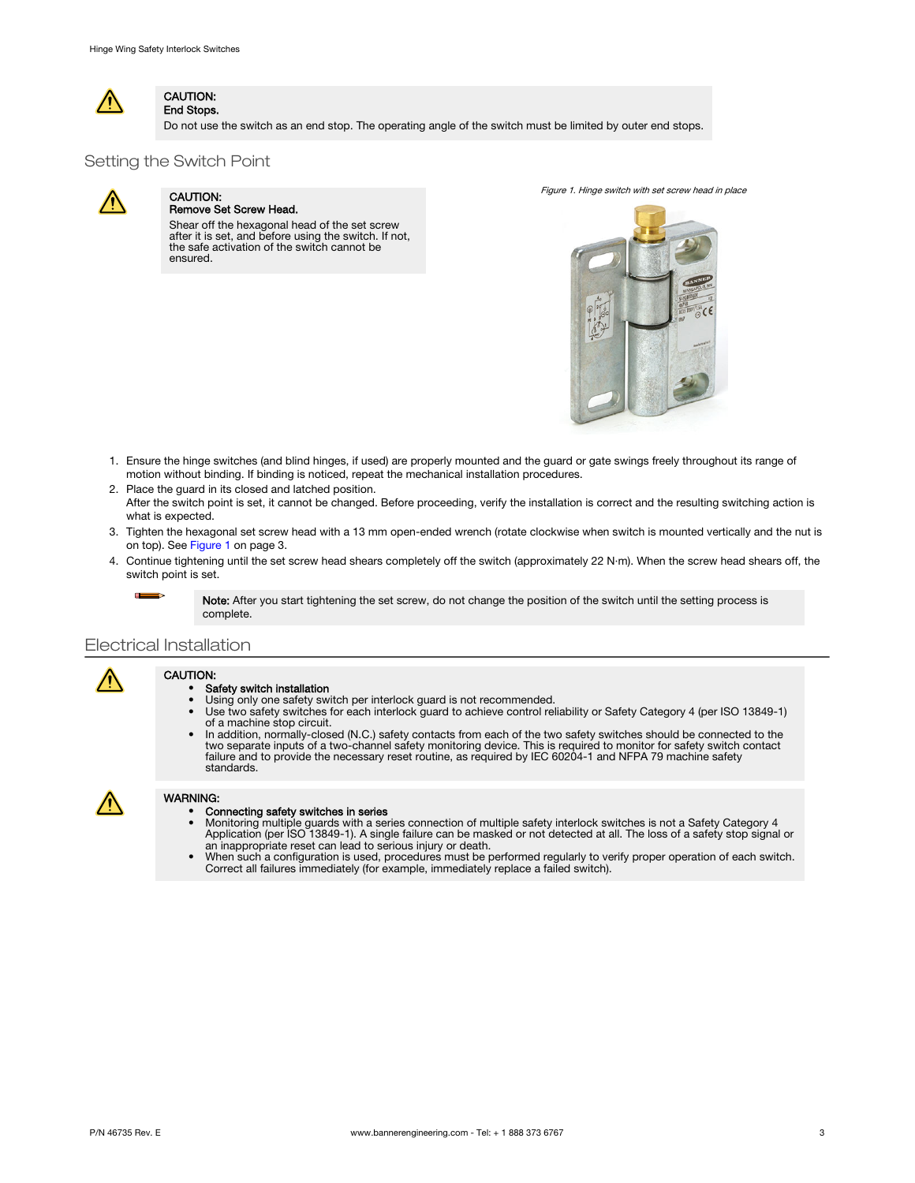

#### CAUTION: End Stops.

Do not use the switch as an end stop. The operating angle of the switch must be limited by outer end stops.

## Setting the Switch Point



#### CAUTION: Remove Set Screw Head.

Shear off the hexagonal head of the set screw after it is set, and before using the switch. If not, the safe activation of the switch cannot be ensured.

Figure 1. Hinge switch with set screw head in place



- 1. Ensure the hinge switches (and blind hinges, if used) are properly mounted and the guard or gate swings freely throughout its range of motion without binding. If binding is noticed, repeat the mechanical installation procedures.
- 2. Place the guard in its closed and latched position.
- After the switch point is set, it cannot be changed. Before proceeding, verify the installation is correct and the resulting switching action is what is expected.
- 3. Tighten the hexagonal set screw head with a 13 mm open-ended wrench (rotate clockwise when switch is mounted vertically and the nut is on top). See Figure 1 on page 3.
- 4. Continue tightening until the set screw head shears completely off the switch (approximately 22 N·m). When the screw head shears off, the switch point is set.



Note: After you start tightening the set screw, do not change the position of the switch until the setting process is complete.

## Electrical Installation



## CAUTION:

- Safety switch installation Using only one safety switch per interlock guard is not recommended.
- Use two safety switches for each interlock guard to achieve control reliability or Safety Category 4 (per ISO 13849-1) of a machine stop circuit.
- In addition, normally-closed (N.C.) safety contacts from each of the two safety switches should be connected to the<br>two separate inputs of a two-channel safety monitoring device. This is required to monitor for safety swit failure and to provide the necessary reset routine, as required by IEC 60204-1 and NFPA 79 machine safety standards.



## WARNING:

#### • Connecting safety switches in series

- Monitoring multiple guards with a series connection of multiple safety interlock switches is not a Safety Category 4<br>Application (per ISO 13849-1). A single failure can be masked or not detected at all. The loss of a saf an inappropriate reset can lead to serious injury or death.
- When such a configuration is used, procedures must be performed regularly to verify proper operation of each switch. Correct all failures immediately (for example, immediately replace a failed switch).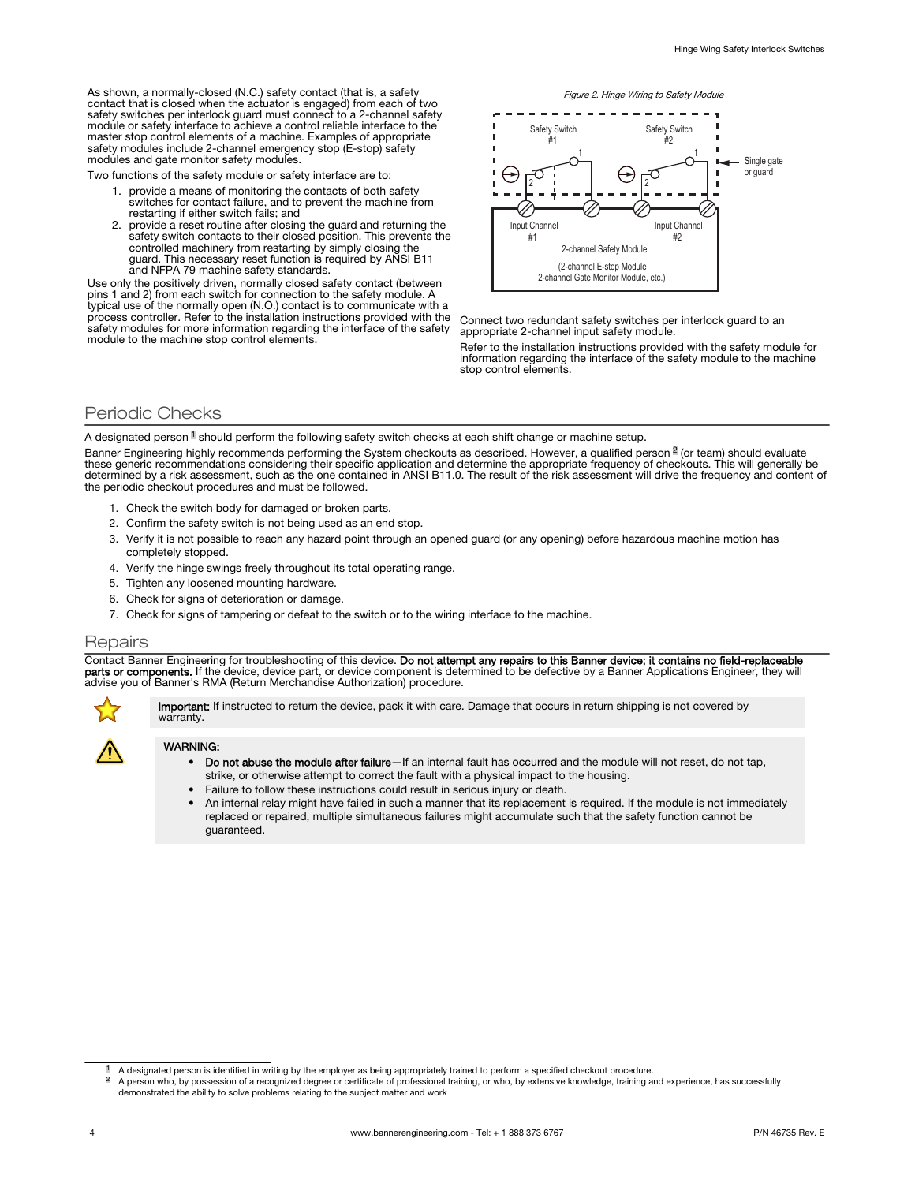As shown, a normally-closed (N.C.) safety contact (that is, a safety contact that is closed when the actuator is engaged) from each of two safety switches per interlock guard must connect to a 2-channel safety module or safety interface to achieve a control reliable interface to the master stop control elements of a machine. Examples of appropriate safety modules include 2-channel emergency stop (E-stop) safety modules and gate monitor safety modules.

Two functions of the safety module or safety interface are to:

- 1. provide a means of monitoring the contacts of both safety switches for contact failure, and to prevent the machine from restarting if either switch fails; and
- 2. provide a reset routine after closing the guard and returning the safety switch contacts to their closed position. This prevents the controlled machinery from restarting by simply closing the guard. This necessary reset function is required by ANSI B11 and NFPA 79 machine safety standards.

Use only the positively driven, normally closed safety contact (between pins 1 and 2) from each switch for connection to the safety module. A typical use of the normally open (N.O.) contact is to communicate with a process controller. Refer to the installation instructions provided with the safety modules for more information regarding the interface of the safety module to the machine stop control elements.



Connect two redundant safety switches per interlock guard to an appropriate 2-channel input safety module.

Refer to the installation instructions provided with the safety module for information regarding the interface of the safety module to the machine stop control elements.

## Periodic Checks

A designated person <sup>1</sup> should perform the following safety switch checks at each shift change or machine setup.

Banner Engineering highly recommends performing the System checkouts as described. However, a qualified person <sup>2</sup> (or team) should evaluate these generic recommendations considering their specific application and determine the appropriate frequency of checkouts. This will generally be determined by a risk assessment, such as the one contained in ANSI B11.0. The result of the risk assessment will drive the frequency and content of the periodic checkout procedures and must be followed.

- 1. Check the switch body for damaged or broken parts.
- 2. Confirm the safety switch is not being used as an end stop.
- 3. Verify it is not possible to reach any hazard point through an opened guard (or any opening) before hazardous machine motion has completely stopped.
- 4. Verify the hinge swings freely throughout its total operating range.
- 5. Tighten any loosened mounting hardware.
- 6. Check for signs of deterioration or damage.
- 7. Check for signs of tampering or defeat to the switch or to the wiring interface to the machine.

#### **Repairs**

Contact Banner Engineering for troubleshooting of this device. **Do not attempt any repairs to this Banner device; it contains no field-replaceable<br><b>parts or components.** If the device, device part, or device component is d



Important: If instructed to return the device, pack it with care. Damage that occurs in return shipping is not covered by warranty.



## WARNING:

- Do not abuse the module after failure—If an internal fault has occurred and the module will not reset, do not tap, strike, or otherwise attempt to correct the fault with a physical impact to the housing.
- Failure to follow these instructions could result in serious injury or death.
- An internal relay might have failed in such a manner that its replacement is required. If the module is not immediately replaced or repaired, multiple simultaneous failures might accumulate such that the safety function cannot be guaranteed.

<sup>&</sup>lt;sup>1</sup> A designated person is identified in writing by the employer as being appropriately trained to perform a specified checkout procedure.<br><sup>2</sup> A person who, by possession of a recognized degree or certificate of professio

demonstrated the ability to solve problems relating to the subject matter and work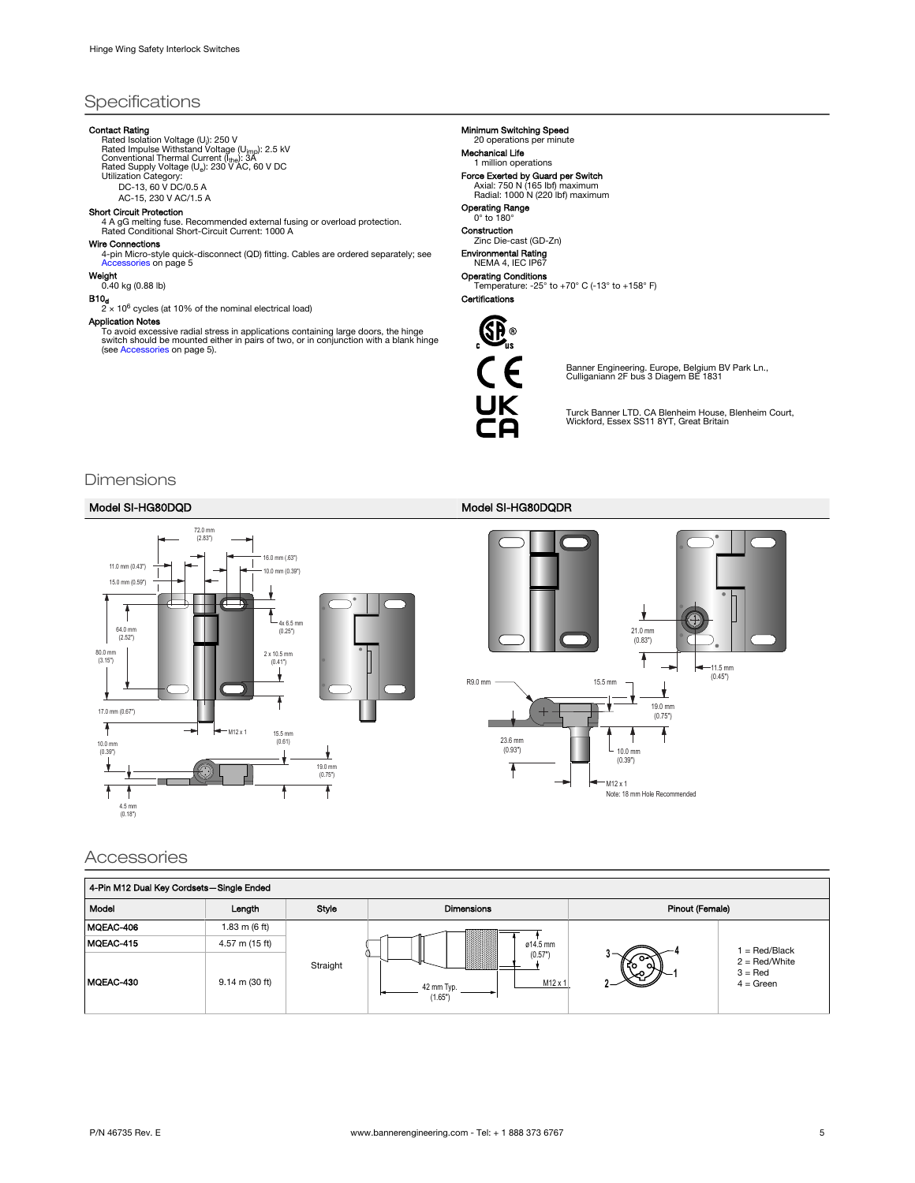## <span id="page-4-0"></span>**Specifications**

**Contact Rating**<br>
Ratel Isolation Voltage (U<sub>)</sub>: 250 V<br>
Ratel Impulse Withstand Voltage (U<sub>imp</sub>): 2.5 kV<br>
Conventional Thermal Current (I<sub>the</sub>): 3A<br>
Ratel Supply Voltage (U<sub>e</sub>): 230 V AC, 60 V DC<br>
Utilization Category:<br>
I

AC-15, 230 V AC/1.5 A

#### Short Circuit Protection

4 A gG melting fuse. Recommended external fusing or overload protection. Rated Conditional Short-Circuit Current: 1000 A

## Wire Connections

4-pin Micro-style quick-disconnect (QD) fitting. Cables are ordered separately; see Accessories on page 5

## Weight

0.40 kg (0.88 lb)

 $B10<sub>d</sub>$ <br>2 x 10<sup>6</sup> cycles (at 10% of the nominal electrical load)

## Application Notes

To avoid excessive radial stress in applications containing large doors, the hinge<br>switch should be mounted either in pairs of two, or in conjunction with a blank hinge<br>(see Accessories on page 5).

**Minimum Switching Speed**<br>20 operations per minute

20 operations p Mechanical Life 1 million operations

**Force Exerted by Guard per Switch**<br>Axial: 750 N (165 lbf) maximum<br>Radial: 1000 N (220 lbf) maximum

Operating Range 0° to 180° Construction

Zinc Die-cast (GD-Zn) Environmental Rating

NEMA 4, IEC IP67

Operating Conditions<br>Temperature: -25° to +70° C (-13° to +158° F) Certifications



Banner Engineering. Europe, Belgium BV Park Ln., Culliganiann 2F bus 3 Diagem BE 1831

Turck Banner LTD. CA Blenheim House, Blenheim Court, Wickford, Essex SS11 8YT, Great Britain

## **Dimensions**

## Model SI-HG80DQD Model SI-HG80DQDR



## Accessories

| 4-Pin M12 Dual Key Cordsets-Single Ended |                                  |          |                                                                     |                 |                                             |
|------------------------------------------|----------------------------------|----------|---------------------------------------------------------------------|-----------------|---------------------------------------------|
| Model                                    | Length                           | Style    | <b>Dimensions</b>                                                   | Pinout (Female) |                                             |
| MQEAC-406                                | 1.83 m $(6 ft)$                  |          |                                                                     |                 |                                             |
| MQEAC-415                                | 4.57 m (15 ft)                   |          | ø14.5 mm<br>(0.57")<br>M <sub>12</sub> x 1<br>42 mm Typ.<br>(1.65") |                 | = Red/Black                                 |
| MQEAC-430                                | $9.14 \text{ m} (30 \text{ ft})$ | Straight |                                                                     |                 | $2 = Red/White$<br>$3 = Red$<br>$4 = Green$ |